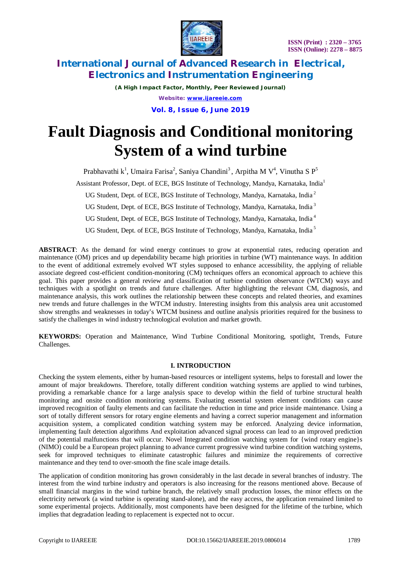

*(A High Impact Factor, Monthly, Peer Reviewed Journal) Website: [www.ijareeie.com](http://www.ijareeie.com)* **Vol. 8, Issue 6, June 2019**

# **Fault Diagnosis and Conditional monitoring System of a wind turbine**

Prabhavathi k<sup>1</sup>, Umaira Farisa<sup>2</sup>, Saniya Chandini<sup>3</sup>, Arpitha M V<sup>4</sup>, Vinutha S P<sup>5</sup> Assistant Professor, Dept. of ECE, BGS Institute of Technology, Mandya, Karnataka, India<sup>1</sup>

UG Student, Dept. of ECE, BGS Institute of Technology, Mandya, Karnataka, India<sup>2</sup>

UG Student, Dept. of ECE, BGS Institute of Technology, Mandya, Karnataka, India<sup>3</sup>

UG Student, Dept. of ECE, BGS Institute of Technology, Mandya, Karnataka, India<sup>4</sup>

UG Student, Dept. of ECE, BGS Institute of Technology, Mandya, Karnataka, India<sup>5</sup>

**ABSTRACT**: As the demand for wind energy continues to grow at exponential rates, reducing operation and maintenance (OM) prices and up dependability became high priorities in turbine (WT) maintenance ways. In addition to the event of additional extremely evolved WT styles supposed to enhance accessibility, the applying of reliable associate degreed cost-efficient condition-monitoring (CM) techniques offers an economical approach to achieve this goal. This paper provides a general review and classification of turbine condition observance (WTCM) ways and techniques with a spotlight on trends and future challenges. After highlighting the relevant CM, diagnosis, and maintenance analysis, this work outlines the relationship between these concepts and related theories, and examines new trends and future challenges in the WTCM industry. Interesting insights from this analysis area unit accustomed show strengths and weaknesses in today's WTCM business and outline analysis priorities required for the business to satisfy the challenges in wind industry technological evolution and market growth.

**KEYWORDS:** Operation and Maintenance, Wind Turbine Conditional Monitoring, spotlight, Trends, Future Challenges.

# **I. INTRODUCTION**

Checking the system elements, either by human-based resources or intelligent systems, helps to forestall and lower the amount of major breakdowns. Therefore, totally different condition watching systems are applied to wind turbines, providing a remarkable chance for a large analysis space to develop within the field of turbine structural health monitoring and onsite condition monitoring systems. Evaluating essential system element conditions can cause improved recognition of faulty elements and can facilitate the reduction in time and price inside maintenance. Using a sort of totally different sensors for rotary engine elements and having a correct superior management and information acquisition system, a complicated condition watching system may be enforced. Analyzing device information, implementing fault detection algorithms And exploitation advanced signal process can lead to an improved prediction of the potential malfunctions that will occur. Novel Integrated condition watching system for {wind rotary engine}s (NIMO) could be a European project planning to advance current progressive wind turbine condition watching systems, seek for improved techniques to eliminate catastrophic failures and minimize the requirements of corrective maintenance and they tend to over-smooth the fine scale image details.

The application of condition monitoring has grown considerably in the last decade in several branches of industry. The interest from the wind turbine industry and operators is also increasing for the reasons mentioned above. Because of small financial margins in the wind turbine branch, the relatively small production losses, the minor effects on the electricity network (a wind turbine is operating stand-alone), and the easy access, the application remained limited to some experimental projects. Additionally, most components have been designed for the lifetime of the turbine, which implies that degradation leading to replacement is expected not to occur.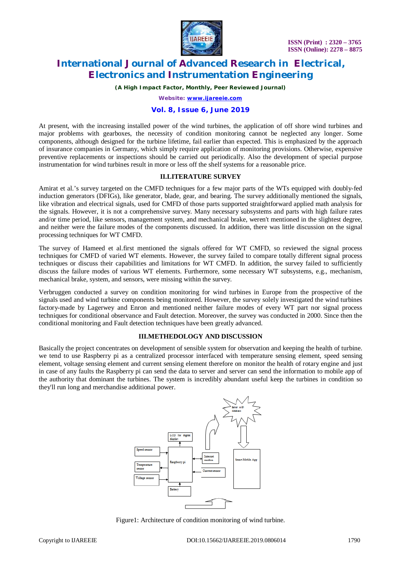

*(A High Impact Factor, Monthly, Peer Reviewed Journal)*

*Website: [www.ijareeie.com](http://www.ijareeie.com)*

### **Vol. 8, Issue 6, June 2019**

At present, with the increasing installed power of the wind turbines, the application of off shore wind turbines and major problems with gearboxes, the necessity of condition monitoring cannot be neglected any longer. Some components, although designed for the turbine lifetime, fail earlier than expected. This is emphasized by the approach of insurance companies in Germany, which simply require application of monitoring provisions. Otherwise, expensive preventive replacements or inspections should be carried out periodically. Also the development of special purpose instrumentation for wind turbines result in more or less off the shelf systems for a reasonable price.

### **II.LITERATURE SURVEY**

Amirat et al.'s survey targeted on the CMFD techniques for a few major parts of the WTs equipped with doubly-fed induction generators (DFIGs), like generator, blade, gear, and bearing. The survey additionally mentioned the signals, like vibration and electrical signals, used for CMFD of those parts supported straightforward applied math analysis for the signals. However, it is not a comprehensive survey. Many necessary subsystems and parts with high failure rates and/or time period, like sensors, management system, and mechanical brake, weren't mentioned in the slightest degree, and neither were the failure modes of the components discussed. In addition, there was little discussion on the signal processing techniques for WT CMFD.

The survey of Hameed et al.first mentioned the signals offered for WT CMFD, so reviewed the signal process techniques for CMFD of varied WT elements. However, the survey failed to compare totally different signal process techniques or discuss their capabilities and limitations for WT CMFD. In addition, the survey failed to sufficiently discuss the failure modes of various WT elements. Furthermore, some necessary WT subsystems, e.g., mechanism, mechanical brake, system, and sensors, were missing within the survey.

Verbruggen conducted a survey on condition monitoring for wind turbines in Europe from the prospective of the signals used and wind turbine components being monitored. However, the survey solely investigated the wind turbines factory-made by Lagerwey and Enron and mentioned neither failure modes of every WT part nor signal process techniques for conditional observance and Fault detection. Moreover, the survey was conducted in 2000. Since then the conditional monitoring and Fault detection techniques have been greatly advanced.

### **III.METHEDOLOGY AND DISCUSSION**

Basically the project concentrates on development of sensible system for observation and keeping the health of turbine. we tend to use Raspberry pi as a centralized processor interfaced with temperature sensing element, speed sensing element, voltage sensing element and current sensing element therefore on monitor the health of rotary engine and just in case of any faults the Raspberry pi can send the data to server and server can send the information to mobile app of the authority that dominant the turbines. The system is incredibly abundant useful keep the turbines in condition so they'll run long and merchandise additional power.



Figure1: Architecture of condition monitoring of wind turbine.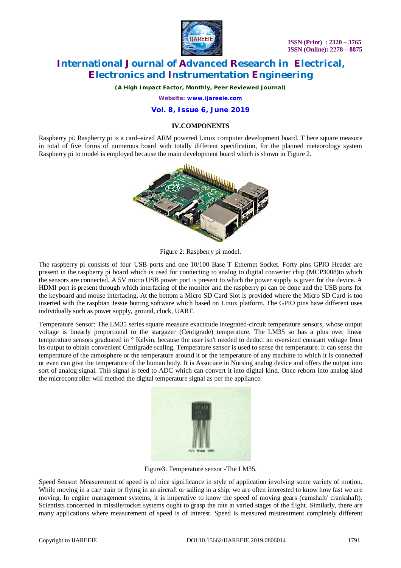

*(A High Impact Factor, Monthly, Peer Reviewed Journal)*

*Website: [www.ijareeie.com](http://www.ijareeie.com)*

## **Vol. 8, Issue 6, June 2019**

### **IV.COMPONENTS**

Raspberry pi: Raspberry pi is a card–sized ARM powered Linux computer development board. T here square measure in total of five forms of numerous board with totally different specification, for the planned meteorology system Raspberry pi to model is employed because the main development board which is shown in Figure 2.



Figure 2: Raspberry pi model.

The raspberry pi consists of four USB ports and one 10/100 Base T Ethernet Socket. Forty pins GPIO Header are present in the raspberry pi board which is used for connecting to analog to digital converter chip (MCP3008)to which the sensors are connected. A 5V micro USB power port is present to which the power supply is given for the device. A HDMI port is present through which interfacing of the monitor and the raspberry pi can be done and the USB ports for the keyboard and mouse interfacing. At the bottom a Micro SD Card Slot is provided where the Micro SD Card is too inserted with the raspbian Jessie botting software which based on Linux platform. The GPIO pins have different uses individually such as power supply, ground, clock, UART.

Temperature Sensor: The LM35 series square measure exactitude integrated-circuit temperature sensors, whose output voltage is linearly proportional to the stargazer (Centigrade) temperature. The LM35 so has a plus over linear temperature sensors graduated in ° Kelvin, because the user isn't needed to deduct an oversized constant voltage from its output to obtain convenient Centigrade scaling. Temperature sensor is used to sense the temperature. It can sense the temperature of the atmosphere or the temperature around it or the temperature of any machine to which it is connected or even can give the temperature of the human body. It is Associate in Nursing analog device and offers the output into sort of analog signal. This signal is feed to ADC which can convert it into digital kind. Once reborn into analog kind the microcontroller will method the digital temperature signal as per the appliance.



Figure3: Temperature sensor -The LM35.

Speed Sensor: Measurement of speed is of nice significance in style of application involving some variety of motion. While moving in a car/ train or flying in an aircraft or sailing in a ship, we are often interested to know how fast we are moving. In engine management systems, it is imperative to know the speed of moving gears (camshaft/ crankshaft). Scientists concerned in missile/rocket systems ought to grasp the rate at varied stages of the flight. Similarly, there are many applications where measurement of speed is of interest. Speed is measured mistreatment completely different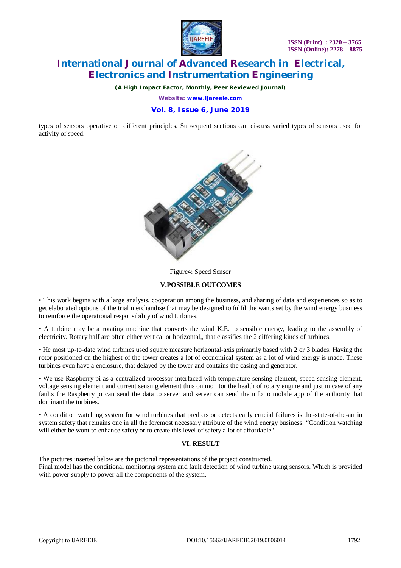

*(A High Impact Factor, Monthly, Peer Reviewed Journal)*

*Website: [www.ijareeie.com](http://www.ijareeie.com)*

# **Vol. 8, Issue 6, June 2019**

types of sensors operative on different principles. Subsequent sections can discuss varied types of sensors used for activity of speed.



#### Figure4: Speed Sensor

### **V.POSSIBLE OUTCOMES**

• This work begins with a large analysis, cooperation among the business, and sharing of data and experiences so as to get elaborated options of the trial merchandise that may be designed to fulfil the wants set by the wind energy business to reinforce the operational responsibility of wind turbines.

• A turbine may be a rotating machine that converts the wind K.E. to sensible energy, leading to the assembly of electricity. Rotary half are often either vertical or horizontal,, that classifies the 2 differing kinds of turbines.

• He most up-to-date wind turbines used square measure horizontal-axis primarily based with 2 or 3 blades. Having the rotor positioned on the highest of the tower creates a lot of economical system as a lot of wind energy is made. These turbines even have a enclosure, that delayed by the tower and contains the casing and generator.

• We use Raspberry pi as a centralized processor interfaced with temperature sensing element, speed sensing element, voltage sensing element and current sensing element thus on monitor the health of rotary engine and just in case of any faults the Raspberry pi can send the data to server and server can send the info to mobile app of the authority that dominant the turbines.

• A condition watching system for wind turbines that predicts or detects early crucial failures is the-state-of-the-art in system safety that remains one in all the foremost necessary attribute of the wind energy business. "Condition watching will either be wont to enhance safety or to create this level of safety a lot of affordable".

### **VI. RESULT**

The pictures inserted below are the pictorial representations of the project constructed. Final model has the conditional monitoring system and fault detection of wind turbine using sensors. Which is provided with power supply to power all the components of the system.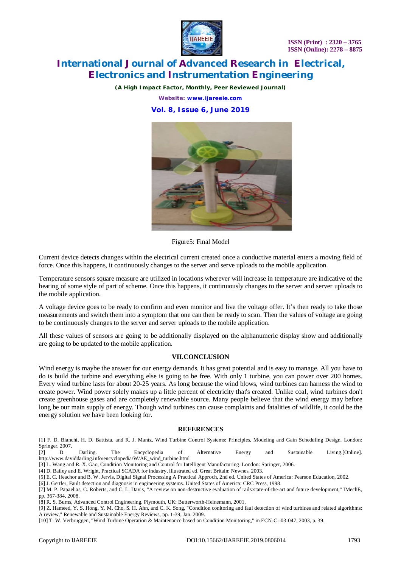

*(A High Impact Factor, Monthly, Peer Reviewed Journal)*

*Website: [www.ijareeie.com](http://www.ijareeie.com)*

## **Vol. 8, Issue 6, June 2019**



Figure5: Final Model

Current device detects changes within the electrical current created once a conductive material enters a moving field of force. Once this happens, it continuously changes to the server and serve uploads to the mobile application.

Temperature sensors square measure are utilized in locations wherever will increase in temperature are indicative of the heating of some style of part of scheme. Once this happens, it continuously changes to the server and server uploads to the mobile application.

A voltage device goes to be ready to confirm and even monitor and live the voltage offer. It's then ready to take those measurements and switch them into a symptom that one can then be ready to scan. Then the values of voltage are going to be continuously changes to the server and server uploads to the mobile application.

All these values of sensors are going to be additionally displayed on the alphanumeric display show and additionally are going to be updated to the mobile application.

### **VII.CONCLUSION**

Wind energy is maybe the answer for our energy demands. It has great potential and is easy to manage. All you have to do is build the turbine and everything else is going to be free. With only 1 turbine, you can power over 200 homes. Every wind turbine lasts for about 20-25 years. As long because the wind blows, wind turbines can harness the wind to create power. Wind power solely makes up a little percent of electricity that's created. Unlike coal, wind turbines don't create greenhouse gases and are completely renewable source. Many people believe that the wind energy may before long be our main supply of energy. Though wind turbines can cause complaints and fatalities of wildlife, it could be the energy solution we have been looking for.

### **REFERENCES**

[1] F. D. Bianchi, H. D. Battista, and R. J. Mantz, Wind Turbine Control Systems: Principles, Modeling and Gain Scheduling Design. London: Springer, 2007.

[2] D. Darling. The Encyclopedia of Alternative Energy and Sustainable Living.[Online]. [http://www.daviddarling.info/encyclopedia/W/AE\\_wind\\_turbine.html](http://www.daviddarling.info/encyclopedia/W/AE_wind_turbine.html) 

[3] L. Wang and R. X. Gao, Condition Monitoring and Control for Intelligent Manufacturing. London: Springer, 2006.

[4] D. Bailey and E. Wright, Practical SCADA for industry, illustrated ed. Great Britain: Newnes, 2003.

[5] E. C. Ifeachor and B. W. Jervis, Digital Signal Processing A Practical Approch, 2nd ed. United States of America: Pearson Education, 2002. [6] J. Gertler, Fault detection and diagnosis in engineering systems. United States of America: CRC Press, 1998.

[7] M. P. Papaelias, C. Roberts, and C. L. Davis, "A review on non-destructive evaluation of rails:state-of-the-art and future development," IMechE, pp. 367-384, 2008.

[8] R. S. Burns, Advanced Control Engineering. Plymouth, UK: Butterworth-Heinemann, 2001.

[9] Z. Hameed, Y. S. Hong, Y. M. Cho, S. H. Ahn, and C. K. Song, "Condition conitoring and faul detection of wind turbines and related algorithms: A review," Renewable and Sustainable Energy Reviews, pp. 1-39, Jan. 2009.

[10] T. W. Verbruggen, "Wind Turbine Operation & Maintenance based on Condition Monitoring," in ECN-C--03-047, 2003, p. 39.